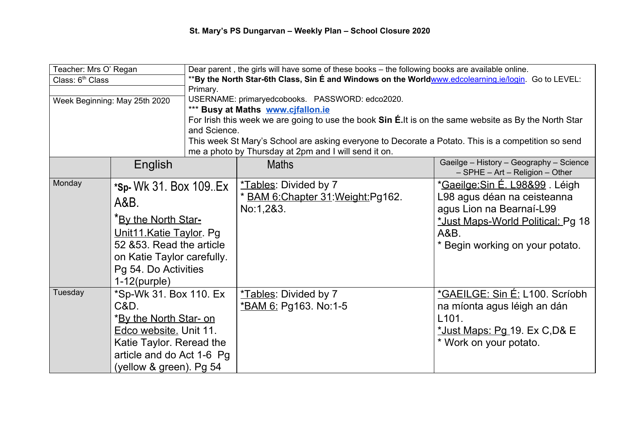| Teacher: Mrs O' Regan         |                                                                                                            | Dear parent, the girls will have some of these books - the following books are available online.      |                                     |                                            |  |
|-------------------------------|------------------------------------------------------------------------------------------------------------|-------------------------------------------------------------------------------------------------------|-------------------------------------|--------------------------------------------|--|
| Class: 6 <sup>th</sup> Class  |                                                                                                            | **By the North Star-6th Class, Sin E and Windows on the Worldwww.edcolearning.ie/login. Go to LEVEL:  |                                     |                                            |  |
|                               |                                                                                                            | Primary.                                                                                              |                                     |                                            |  |
| Week Beginning: May 25th 2020 |                                                                                                            | USERNAME: primaryedcobooks. PASSWORD: edco2020.                                                       |                                     |                                            |  |
|                               |                                                                                                            | *** Busy at Maths www.cjfallon.ie                                                                     |                                     |                                            |  |
|                               |                                                                                                            | For Irish this week we are going to use the book Sin E.It is on the same website as By the North Star |                                     |                                            |  |
|                               |                                                                                                            | and Science.                                                                                          |                                     |                                            |  |
|                               |                                                                                                            | This week St Mary's School are asking everyone to Decorate a Potato. This is a competition so send    |                                     |                                            |  |
|                               |                                                                                                            | me a photo by Thursday at 2pm and I will send it on.                                                  |                                     |                                            |  |
|                               | English                                                                                                    |                                                                                                       | <b>Maths</b>                        | Gaeilge - History - Geography - Science    |  |
|                               |                                                                                                            |                                                                                                       |                                     | $-$ SPHE $-$ Art $-$ Religion $-$ Other    |  |
| Monday                        | *Sp- Wk 31. Box 109. Ex                                                                                    |                                                                                                       | *Tables: Divided by 7               | * <u>Gaeilge:Sin É. L98&amp;99</u> . Léigh |  |
|                               |                                                                                                            |                                                                                                       | * BAM 6: Chapter 31: Weight: Pg162. | L98 agus déan na ceisteanna                |  |
|                               | A&B.                                                                                                       |                                                                                                       | No:1,2&3.                           | agus Lion na Bearnaí-L99                   |  |
|                               | <b>Keta The North Star-</b>                                                                                |                                                                                                       |                                     | *Just Maps-World Political: Pg 18          |  |
|                               |                                                                                                            |                                                                                                       |                                     |                                            |  |
|                               | Unit11.Katie Taylor. Pg<br>52 & 53. Read the article<br>on Katie Taylor carefully.<br>Pg 54. Do Activities |                                                                                                       |                                     | A&B.                                       |  |
|                               |                                                                                                            |                                                                                                       |                                     | * Begin working on your potato.            |  |
|                               |                                                                                                            |                                                                                                       |                                     |                                            |  |
|                               |                                                                                                            |                                                                                                       |                                     |                                            |  |
|                               | $1-12(purple)$                                                                                             |                                                                                                       |                                     |                                            |  |
| Tuesday                       | *Sp-Wk 31. Box 110. Ex                                                                                     |                                                                                                       | *Tables: Divided by 7               | *GAEILGE: Sin É: L100. Scríobh             |  |
|                               | C&D.                                                                                                       |                                                                                                       | <u>*BAM 6:</u> Pg163. No:1-5        | na míonta agus léigh an dán                |  |
|                               | * <b>By the North Star- on</b>                                                                             |                                                                                                       |                                     | L <sub>101</sub> .                         |  |
|                               | Edco website. Unit 11.                                                                                     |                                                                                                       |                                     | *Just Maps: Pg 19. Ex C, D& E              |  |
|                               | Katie Taylor. Reread the                                                                                   |                                                                                                       |                                     | * Work on your potato.                     |  |
|                               | article and do Act 1-6 Pg                                                                                  |                                                                                                       |                                     |                                            |  |
|                               | (yellow & green). Pg 54                                                                                    |                                                                                                       |                                     |                                            |  |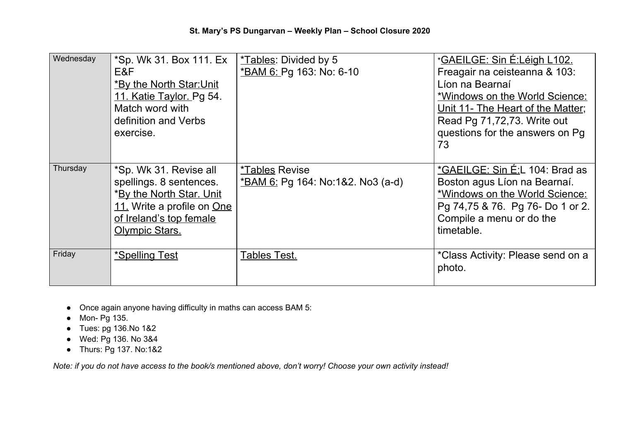| Wednesday | *Sp. Wk 31. Box 111. Ex<br>E&F<br>*By the North Star: Unit<br>11. Katie Taylor. Pg 54.<br>Match word with<br>definition and Verbs<br>exercise.                  | *Tables: Divided by 5<br>*BAM 6: Pg 163: No: 6-10                        | <u> *GAEILGE: Sin É:Léigh L102.</u><br>Freagair na ceisteanna & 103:<br>Líon na Bearnaí<br>*Windows on the World Science:<br>Unit 11- The Heart of the Matter;<br>Read Pg 71,72,73. Write out<br>questions for the answers on Pg<br>73 |
|-----------|-----------------------------------------------------------------------------------------------------------------------------------------------------------------|--------------------------------------------------------------------------|----------------------------------------------------------------------------------------------------------------------------------------------------------------------------------------------------------------------------------------|
| Thursday  | *Sp. Wk 31. Revise all<br>spellings. 8 sentences.<br>*By the North Star. Unit<br>11. Write a profile on One<br>of Ireland's top female<br><b>Olympic Stars.</b> | <i><b>*Tables Revise</b></i><br><u>*BAM 6:</u> Pg 164: No:1&2. No3 (a-d) | *GAEILGE: Sin É:L 104: Brad as<br>Boston agus Líon na Bearnaí.<br>*Windows on the World Science:<br>Pg 74,75 & 76. Pg 76- Do 1 or 2.<br>Compile a menu or do the<br>timetable.                                                         |
| Friday    | *Spelling Test                                                                                                                                                  | <b>Tables Test.</b>                                                      | *Class Activity: Please send on a<br>photo.                                                                                                                                                                                            |

- Once again anyone having difficulty in maths can access BAM 5:
- Mon- Pg 135.
- Tues: pg 136.No 1&2
- Wed: Pg 136. No 3&4
- Thurs: Pg 137. No:1&2

Note: if you do not have access to the book/s mentioned above, don't worry! Choose your own activity instead!